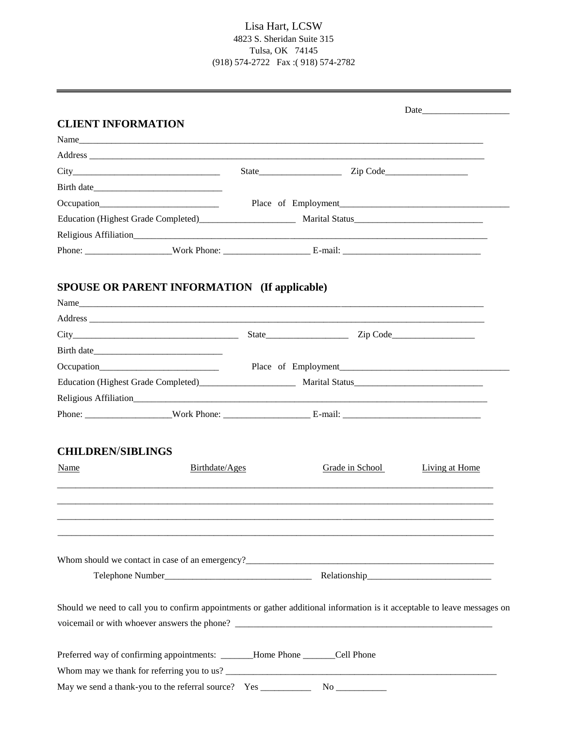## Lisa Hart, LCSW 4823 S. Sheridan Suite 315 Tulsa, OK 74145 (918) 574-2722 Fax :( 918) 574-2782

| <b>CLIENT INFORMATION</b>                                                                                                                                                                                                            |                     |                     |                       |
|--------------------------------------------------------------------------------------------------------------------------------------------------------------------------------------------------------------------------------------|---------------------|---------------------|-----------------------|
| Name                                                                                                                                                                                                                                 |                     |                     |                       |
|                                                                                                                                                                                                                                      |                     |                     |                       |
|                                                                                                                                                                                                                                      |                     |                     |                       |
|                                                                                                                                                                                                                                      |                     |                     |                       |
|                                                                                                                                                                                                                                      | Place of Employment |                     |                       |
|                                                                                                                                                                                                                                      |                     |                     |                       |
| Religious Affiliation <b>According to the Contract Contract Contract Contract Contract Contract Contract Contract Contract Contract Contract Contract Contract Contract Contract Contract Contract Contract Contract Contract Co</b> |                     |                     |                       |
|                                                                                                                                                                                                                                      |                     |                     |                       |
| <b>SPOUSE OR PARENT INFORMATION (If applicable)</b><br>Name                                                                                                                                                                          |                     |                     |                       |
|                                                                                                                                                                                                                                      |                     |                     |                       |
|                                                                                                                                                                                                                                      |                     |                     |                       |
|                                                                                                                                                                                                                                      |                     | Place of Employment |                       |
|                                                                                                                                                                                                                                      |                     |                     |                       |
| Religious Affiliation                                                                                                                                                                                                                |                     |                     |                       |
|                                                                                                                                                                                                                                      |                     |                     |                       |
| <b>CHILDREN/SIBLINGS</b>                                                                                                                                                                                                             |                     |                     |                       |
| Name<br>Birthdate/Ages                                                                                                                                                                                                               |                     | Grade in School     | <b>Living at Home</b> |
|                                                                                                                                                                                                                                      |                     |                     |                       |
|                                                                                                                                                                                                                                      |                     |                     |                       |
|                                                                                                                                                                                                                                      |                     |                     |                       |
| Should we need to call you to confirm appointments or gather additional information is it acceptable to leave messages on                                                                                                            |                     |                     |                       |
| Preferred way of confirming appointments: ______Home Phone ______Cell Phone                                                                                                                                                          |                     |                     |                       |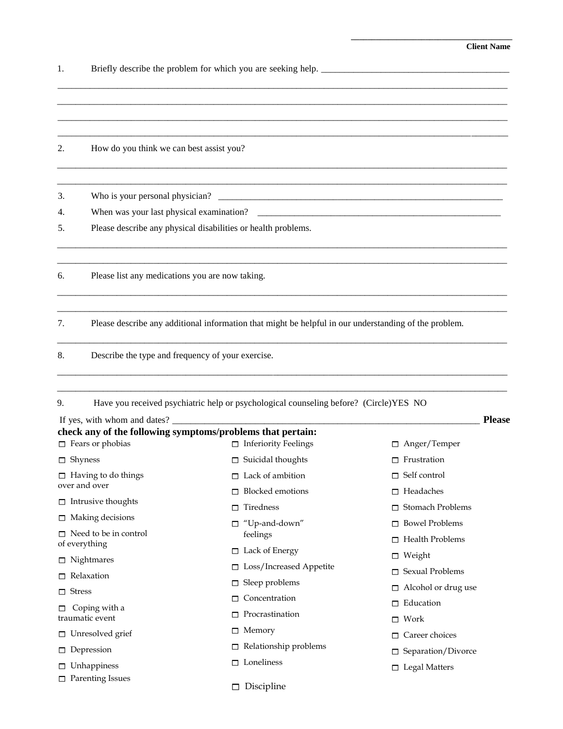**\_\_\_\_\_\_\_\_\_\_\_\_\_\_\_\_\_\_\_\_\_\_\_\_\_\_\_\_\_\_\_\_\_\_\_\_\_\_\_** 

1. Briefly describe the problem for which you are seeking help. \_\_\_\_\_\_\_\_\_\_\_\_\_\_\_\_\_\_\_\_\_\_\_\_\_\_\_\_\_\_\_\_\_\_\_\_\_\_\_\_\_

 $\overline{a}$  , and the contribution of the contribution of the contribution of the contribution of the contribution of the contribution of the contribution of the contribution of the contribution of the contribution of the co  $\overline{\phantom{a}}$  , and the contribution of the contribution of the contribution of the contribution of the contribution of the contribution of the contribution of the contribution of the contribution of the contribution of the \_\_\_\_\_\_\_\_\_\_\_\_\_\_\_\_\_\_\_\_\_\_\_\_\_\_\_\_\_\_\_\_\_\_\_\_\_\_\_\_\_\_\_\_\_\_\_\_\_\_\_\_\_\_\_\_\_\_\_\_\_\_\_\_\_\_\_\_\_\_\_\_\_\_\_\_\_\_\_\_\_\_\_\_\_\_\_\_\_\_\_\_\_\_\_\_\_\_ 2. How do you think we can best assist you?  $\overline{a_1}$  ,  $\overline{a_2}$  ,  $\overline{a_3}$  ,  $\overline{a_4}$  ,  $\overline{a_5}$  ,  $\overline{a_6}$  ,  $\overline{a_7}$  ,  $\overline{a_8}$  ,  $\overline{a_9}$  ,  $\overline{a_9}$  ,  $\overline{a_9}$  ,  $\overline{a_9}$  ,  $\overline{a_9}$  ,  $\overline{a_9}$  ,  $\overline{a_9}$  ,  $\overline{a_9}$  ,  $\overline{a_9}$  ,  $\overline{a_1}$  ,  $\overline{a_2}$  ,  $\overline{a_3}$  ,  $\overline{a_4}$  ,  $\overline{a_5}$  ,  $\overline{a_6}$  ,  $\overline{a_7}$  ,  $\overline{a_8}$  ,  $\overline{a_9}$  ,  $\overline{a_9}$  ,  $\overline{a_9}$  ,  $\overline{a_9}$  ,  $\overline{a_9}$  ,  $\overline{a_9}$  ,  $\overline{a_9}$  ,  $\overline{a_9}$  ,  $\overline{a_9}$  , 3. Who is your personal physician? 4. When was your last physical examination? 5. Please describe any physical disabilities or health problems.  $\overline{a_1}$  ,  $\overline{a_2}$  ,  $\overline{a_3}$  ,  $\overline{a_4}$  ,  $\overline{a_5}$  ,  $\overline{a_6}$  ,  $\overline{a_7}$  ,  $\overline{a_8}$  ,  $\overline{a_9}$  ,  $\overline{a_9}$  ,  $\overline{a_9}$  ,  $\overline{a_9}$  ,  $\overline{a_9}$  ,  $\overline{a_9}$  ,  $\overline{a_9}$  ,  $\overline{a_9}$  ,  $\overline{a_9}$  , \_\_\_\_\_\_\_\_\_\_\_\_\_\_\_\_\_\_\_\_\_\_\_\_\_\_\_\_\_\_\_\_\_\_\_\_\_\_\_\_\_\_\_\_\_\_\_\_\_\_\_\_\_\_\_\_\_\_\_\_\_\_\_\_\_\_\_\_\_\_\_\_\_\_\_\_\_\_\_\_\_\_\_\_\_\_\_\_\_\_\_\_\_\_\_\_\_\_ 6. Please list any medications you are now taking.  $\overline{a_1}$  ,  $\overline{a_2}$  ,  $\overline{a_3}$  ,  $\overline{a_4}$  ,  $\overline{a_5}$  ,  $\overline{a_6}$  ,  $\overline{a_7}$  ,  $\overline{a_8}$  ,  $\overline{a_9}$  ,  $\overline{a_9}$  ,  $\overline{a_9}$  ,  $\overline{a_9}$  ,  $\overline{a_9}$  ,  $\overline{a_9}$  ,  $\overline{a_9}$  ,  $\overline{a_9}$  ,  $\overline{a_9}$  ,  $\overline{a_1}$  ,  $\overline{a_2}$  ,  $\overline{a_3}$  ,  $\overline{a_4}$  ,  $\overline{a_5}$  ,  $\overline{a_6}$  ,  $\overline{a_7}$  ,  $\overline{a_8}$  ,  $\overline{a_9}$  ,  $\overline{a_9}$  ,  $\overline{a_9}$  ,  $\overline{a_9}$  ,  $\overline{a_9}$  ,  $\overline{a_9}$  ,  $\overline{a_9}$  ,  $\overline{a_9}$  ,  $\overline{a_9}$  , 7. Please describe any additional information that might be helpful in our understanding of the problem. \_\_\_\_\_\_\_\_\_\_\_\_\_\_\_\_\_\_\_\_\_\_\_\_\_\_\_\_\_\_\_\_\_\_\_\_\_\_\_\_\_\_\_\_\_\_\_\_\_\_\_\_\_\_\_\_\_\_\_\_\_\_\_\_\_\_\_\_\_\_\_\_\_\_\_\_\_\_\_\_\_\_\_\_\_\_\_\_\_\_\_\_\_\_\_\_\_\_ 8. Describe the type and frequency of your exercise. \_\_\_\_\_\_\_\_\_\_\_\_\_\_\_\_\_\_\_\_\_\_\_\_\_\_\_\_\_\_\_\_\_\_\_\_\_\_\_\_\_\_\_\_\_\_\_\_\_\_\_\_\_\_\_\_\_\_\_\_\_\_\_\_\_\_\_\_\_\_\_\_\_\_\_\_\_\_\_\_\_\_\_\_\_\_\_\_\_\_\_\_\_\_\_\_\_\_ \_\_\_\_\_\_\_\_\_\_\_\_\_\_\_\_\_\_\_\_\_\_\_\_\_\_\_\_\_\_\_\_\_\_\_\_\_\_\_\_\_\_\_\_\_\_\_\_\_\_\_\_\_\_\_\_\_\_\_\_\_\_\_\_\_\_\_\_\_\_\_\_\_\_\_\_\_\_\_\_\_\_\_\_\_\_\_\_\_\_\_\_\_\_\_\_\_\_ 9. Have you received psychiatric help or psychological counseling before? (Circle)YES NO If yes, with whom and dates? \_\_\_\_\_\_\_\_\_\_\_\_\_\_\_\_\_\_\_\_\_\_\_\_\_\_\_\_\_\_\_\_\_\_\_\_\_\_\_\_\_\_\_\_\_\_\_\_\_\_\_\_\_\_\_\_\_\_\_\_\_\_\_\_\_\_\_ **Please check any of the following symptoms/problems that pertain:**  $\Box$  Fears or phobias □ Shyness  $\Box$  Having to do things over and over  $\Box$  Intrusive thoughts  $\Box$  Making decisions  $\Box$  Need to be in control of everything □ Nightmares □ Relaxation □ Stress  $\Box$  Coping with a traumatic event □ Unresolved grief  $\Box$  Depression  $\square$  Unhappiness  $\Box$  Parenting Issues  $\Box$  Inferiority Feelings  $\Box$  Suicidal thoughts  $\Box$  Lack of ambition  $\Box$  Blocked emotions  $\Box$  Tiredness "Up-and-down" feelings □ Lack of Energy □ Loss/Increased Appetite  $\Box$  Sleep problems □ Concentration  $\square$  Procrastination □ Memory  $\Box$  Relationship problems  $\Box$  Loneliness  $\Box$  Discipline Anger/Temper  $\Box$  Frustration □ Self control □ Headaches □ Stomach Problems  $\Box$  Bowel Problems Health Problems □ Weight □ Sexual Problems  $\Box$  Alcohol or drug use □ Education Work □ Career choices □ Separation/Divorce □ Legal Matters

\_\_\_\_\_\_\_\_\_\_\_\_\_\_\_\_\_\_\_\_\_\_\_\_\_\_\_\_\_\_\_\_\_\_\_\_\_\_\_\_\_\_\_\_\_\_\_\_\_\_\_\_\_\_\_\_\_\_\_\_\_\_\_\_\_\_\_\_\_\_\_\_\_\_\_\_\_\_\_\_\_\_\_\_\_\_\_\_\_\_\_\_\_\_\_\_\_\_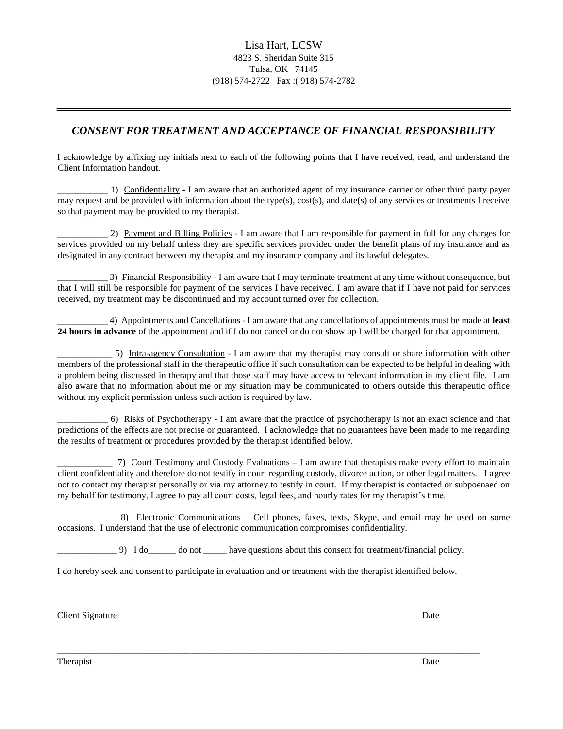# *CONSENT FOR TREATMENT AND ACCEPTANCE OF FINANCIAL RESPONSIBILITY*

I acknowledge by affixing my initials next to each of the following points that I have received, read, and understand the Client Information handout.

\_\_\_\_\_\_\_\_\_\_\_ 1) Confidentiality - I am aware that an authorized agent of my insurance carrier or other third party payer may request and be provided with information about the type(s), cost(s), and date(s) of any services or treatments I receive so that payment may be provided to my therapist.

2) Payment and Billing Policies - I am aware that I am responsible for payment in full for any charges for services provided on my behalf unless they are specific services provided under the benefit plans of my insurance and as designated in any contract between my therapist and my insurance company and its lawful delegates.

\_\_\_\_\_\_\_\_\_\_\_ 3) Financial Responsibility - I am aware that I may terminate treatment at any time without consequence, but that I will still be responsible for payment of the services I have received. I am aware that if I have not paid for services received, my treatment may be discontinued and my account turned over for collection.

\_\_\_\_\_\_\_\_\_\_\_ 4) Appointments and Cancellations - I am aware that any cancellations of appointments must be made at **least 24 hours in advance** of the appointment and if I do not cancel or do not show up I will be charged for that appointment.

5) Intra-agency Consultation - I am aware that my therapist may consult or share information with other members of the professional staff in the therapeutic office if such consultation can be expected to be helpful in dealing with a problem being discussed in therapy and that those staff may have access to relevant information in my client file. I am also aware that no information about me or my situation may be communicated to others outside this therapeutic office without my explicit permission unless such action is required by law.

 $\pm$  6) Risks of Psychotherapy - I am aware that the practice of psychotherapy is not an exact science and that predictions of the effects are not precise or guaranteed. I acknowledge that no guarantees have been made to me regarding the results of treatment or procedures provided by the therapist identified below.

\_\_\_\_\_\_\_\_\_\_\_\_ 7) Court Testimony and Custody Evaluations **–** I am aware that therapists make every effort to maintain client confidentiality and therefore do not testify in court regarding custody, divorce action, or other legal matters. I agree not to contact my therapist personally or via my attorney to testify in court. If my therapist is contacted or subpoenaed on my behalf for testimony, I agree to pay all court costs, legal fees, and hourly rates for my therapist's time.

8) Electronic Communications – Cell phones, faxes, texts, Skype, and email may be used on some occasions. I understand that the use of electronic communication compromises confidentiality.

 $\Box$  9) I do  $\Box$  do not  $\Box$  have questions about this consent for treatment/financial policy.

I do hereby seek and consent to participate in evaluation and or treatment with the therapist identified below.

\_\_\_\_\_\_\_\_\_\_\_\_\_\_\_\_\_\_\_\_\_\_\_\_\_\_\_\_\_\_\_\_\_\_\_\_\_\_\_\_\_\_\_\_\_\_\_\_\_\_\_\_\_\_\_\_\_\_\_\_\_\_\_\_\_\_\_\_\_\_\_\_\_\_\_\_\_\_\_\_\_\_\_\_\_\_\_\_\_\_\_\_

\_\_\_\_\_\_\_\_\_\_\_\_\_\_\_\_\_\_\_\_\_\_\_\_\_\_\_\_\_\_\_\_\_\_\_\_\_\_\_\_\_\_\_\_\_\_\_\_\_\_\_\_\_\_\_\_\_\_\_\_\_\_\_\_\_\_\_\_\_\_\_\_\_\_\_\_\_\_\_\_\_\_\_\_\_\_\_\_\_\_\_\_

Client Signature Date by the United States of the United States of the United States of Date

**Therapist** Date **Date**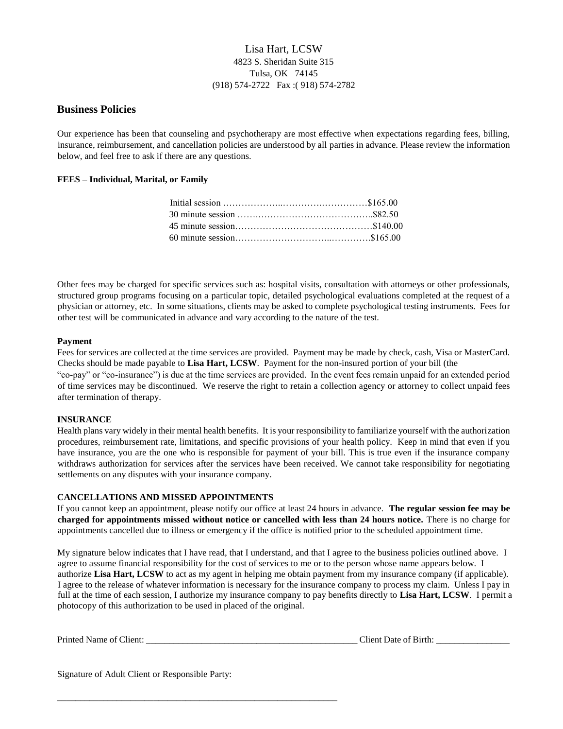## Lisa Hart, LCSW 4823 S. Sheridan Suite 315 Tulsa, OK 74145 (918) 574-2722 Fax :( 918) 574-2782

## **Business Policies**

Our experience has been that counseling and psychotherapy are most effective when expectations regarding fees, billing, insurance, reimbursement, and cancellation policies are understood by all parties in advance. Please review the information below, and feel free to ask if there are any questions.

## **FEES – Individual, Marital, or Family**

Other fees may be charged for specific services such as: hospital visits, consultation with attorneys or other professionals, structured group programs focusing on a particular topic, detailed psychological evaluations completed at the request of a physician or attorney, etc. In some situations, clients may be asked to complete psychological testing instruments. Fees for other test will be communicated in advance and vary according to the nature of the test.

### **Payment**

Fees for services are collected at the time services are provided. Payment may be made by check, cash, Visa or MasterCard. Checks should be made payable to **Lisa Hart, LCSW**. Payment for the non-insured portion of your bill (the "co-pay" or "co-insurance") is due at the time services are provided. In the event fees remain unpaid for an extended period

of time services may be discontinued. We reserve the right to retain a collection agency or attorney to collect unpaid fees after termination of therapy.

### **INSURANCE**

Health plans vary widely in their mental health benefits. It is your responsibility to familiarize yourself with the authorization procedures, reimbursement rate, limitations, and specific provisions of your health policy. Keep in mind that even if you have insurance, you are the one who is responsible for payment of your bill. This is true even if the insurance company withdraws authorization for services after the services have been received. We cannot take responsibility for negotiating settlements on any disputes with your insurance company.

### **CANCELLATIONS AND MISSED APPOINTMENTS**

If you cannot keep an appointment, please notify our office at least 24 hours in advance. **The regular session fee may be charged for appointments missed without notice or cancelled with less than 24 hours notice.** There is no charge for appointments cancelled due to illness or emergency if the office is notified prior to the scheduled appointment time.

My signature below indicates that I have read, that I understand, and that I agree to the business policies outlined above. I agree to assume financial responsibility for the cost of services to me or to the person whose name appears below. I authorize **Lisa Hart, LCSW** to act as my agent in helping me obtain payment from my insurance company (if applicable). I agree to the release of whatever information is necessary for the insurance company to process my claim. Unless I pay in full at the time of each session, I authorize my insurance company to pay benefits directly to **Lisa Hart, LCSW**. I permit a photocopy of this authorization to be used in placed of the original.

| Printed Name of Client: | Chent Date of Birth: |
|-------------------------|----------------------|
|-------------------------|----------------------|

Signature of Adult Client or Responsible Party:

\_\_\_\_\_\_\_\_\_\_\_\_\_\_\_\_\_\_\_\_\_\_\_\_\_\_\_\_\_\_\_\_\_\_\_\_\_\_\_\_\_\_\_\_\_\_\_\_\_\_\_\_\_\_\_\_\_\_\_\_\_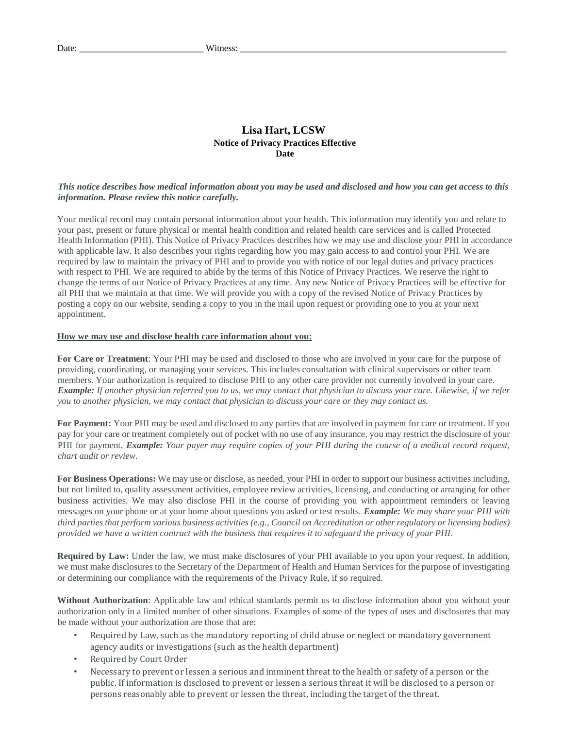## **Lisa Hart, LCSW Notice of Privacy Practices Effective Date**

### *This notice describes how medical information about you may be used and disclosed and how you can get access to this information. Please review this notice carefully.*

Your medical record may contain personal information about your health. This information may identify you and relate to your past, present or future physical or mental health condition and related health care services and is called Protected Health Information (PHI). This Notice of Privacy Practices describes how we may use and disclose your PHI in accordance with applicable law. It also describes your rights regarding how you may gain access to and control your PHI. We are required by law to maintain the privacy of PHI and to provide you with notice of our legal duties and privacy practices with respect to PHI. We are required to abide by the terms of this Notice of Privacy Practices. We reserve the right to change the terms of our Notice of Privacy Practices at any time. Any new Notice of Privacy Practices will be effective for all PHI that we maintain at that time. We will provide you with a copy of the revised Notice of Privacy Practices by posting a copy on our website, sending a copy to you in the mail upon request or providing one to you at your next appointment.

#### **How we may use and disclose health care information about you:**

**For Care or Treatment**: Your PHI may be used and disclosed to those who are involved in your care for the purpose of providing, coordinating, or managing your services. This includes consultation with clinical supervisors or other team members. Your authorization is required to disclose PHI to any other care provider not currently involved in your care. *Example: If another physician referred you to us, we may contact that physician to discuss your care. Likewise, if we refer you to another physician, we may contact that physician to discuss your care or they may contact us.* 

**For Payment:** Your PHI may be used and disclosed to any parties that are involved in payment for care or treatment. If you pay for your care or treatment completely out of pocket with no use of any insurance, you may restrict the disclosure of your PHI for payment. *Example: Your payer may require copies of your PHI during the course of a medical record request, chart audit or review.* 

**For Business Operations:** We may use or disclose, as needed, your PHI in order to support our business activities including, but not limited to, quality assessment activities, employee review activities, licensing, and conducting or arranging for other business activities. We may also disclose PHI in the course of providing you with appointment reminders or leaving messages on your phone or at your home about questions you asked or test results. *Example: We may share your PHI with third parties that perform various business activities (e.g., Council on Accreditation or other regulatory or licensing bodies) provided we have a written contract with the business that requires it to safeguard the privacy of your PHI.* 

**Required by Law:** Under the law, we must make disclosures of your PHI available to you upon your request. In addition, we must make disclosures to the Secretary of the Department of Health and Human Services for the purpose of investigating or determining our compliance with the requirements of the Privacy Rule, if so required.

**Without Authorization**: Applicable law and ethical standards permit us to disclose information about you without your authorization only in a limited number of other situations. Examples of some of the types of uses and disclosures that may be made without your authorization are those that are:

- Required by Law, such as the mandatory reporting of child abuse or neglect or mandatory government agency audits or investigations (such as the health department)
- Required by Court Order
- Necessary to prevent or lessen a serious and imminent threat to the health or safety of a person or the public. If information is disclosed to prevent or lessen a serious threat it will be disclosed to a person or persons reasonably able to prevent or lessen the threat, including the target of the threat.